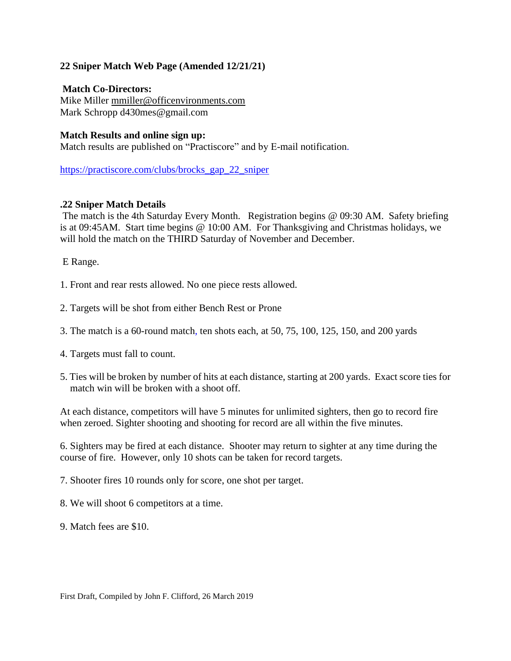## **22 Sniper Match Web Page (Amended 12/21/21)**

**Match Co-Directors:** Mike Miller [mmiller@officenvironments.com](mailto:mmiller@officenvironments.com) Mark Schropp d430mes@gmail.com

## **Match Results and online sign up:**

Match results are published on "Practiscore" and by E-mail notification.

[https://practiscore.com/clubs/brocks\\_gap\\_22\\_sniper](https://practiscore.com/clubs/brocks_gap_22_sniper)

## **.22 Sniper Match Details**

The match is the 4th Saturday Every Month. Registration begins @ 09:30 AM. Safety briefing is at 09:45AM. Start time begins @ 10:00 AM. For Thanksgiving and Christmas holidays, we will hold the match on the THIRD Saturday of November and December.

E Range.

- 1. Front and rear rests allowed. No one piece rests allowed.
- 2. Targets will be shot from either Bench Rest or Prone
- 3. The match is a 60-round match, ten shots each, at 50, 75, 100, 125, 150, and 200 yards
- 4. Targets must fall to count.
- 5. Ties will be broken by number of hits at each distance, starting at 200 yards. Exact score ties for match win will be broken with a shoot off.

At each distance, competitors will have 5 minutes for unlimited sighters, then go to record fire when zeroed. Sighter shooting and shooting for record are all within the five minutes.

6. Sighters may be fired at each distance. Shooter may return to sighter at any time during the course of fire. However, only 10 shots can be taken for record targets.

7. Shooter fires 10 rounds only for score, one shot per target.

8. We will shoot 6 competitors at a time.

9. Match fees are \$10.

First Draft, Compiled by John F. Clifford, 26 March 2019